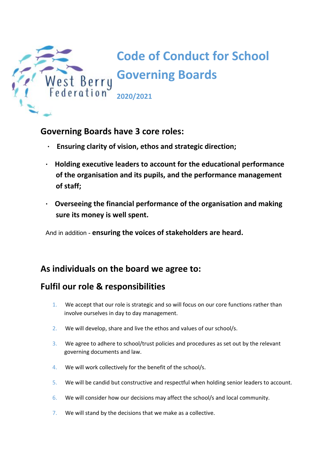

### **Governing Boards have 3 core roles:**

- **· Ensuring clarity of vision, ethos and strategic direction;**
- **· Holding executive leaders to account for the educational performance of the organisation and its pupils, and the performance management of staff;**
- **· Overseeing the financial performance of the organisation and making sure its money is well spent.**

And in addition - **ensuring the voices of stakeholders are heard.**

## **As individuals on the board we agree to:**

# **Fulfil our role & responsibilities**

- 1. We accept that our role is strategic and so will focus on our core functions rather than involve ourselves in day to day management.
- 2. We will develop, share and live the ethos and values of our school/s.
- 3. We agree to adhere to school/trust policies and procedures as set out by the relevant governing documents and law.
- 4. We will work collectively for the benefit of the school/s.
- 5. We will be candid but constructive and respectful when holding senior leaders to account.
- 6. We will consider how our decisions may affect the school/s and local community.
- 7. We will stand by the decisions that we make as a collective.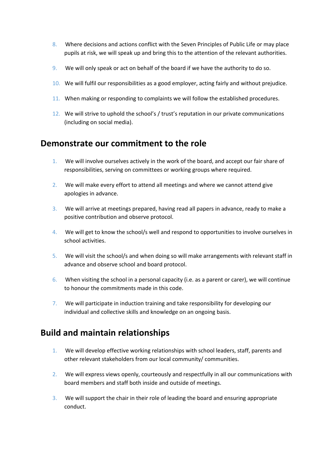- 8. Where decisions and actions conflict with the Seven Principles of Public Life or may place pupils at risk, we will speak up and bring this to the attention of the relevant authorities.
- 9. We will only speak or act on behalf of the board if we have the authority to do so.
- 10. We will fulfil our responsibilities as a good employer, acting fairly and without prejudice.
- 11. When making or responding to complaints we will follow the established procedures.
- 12. We will strive to uphold the school's / trust's reputation in our private communications (including on social media).

#### **Demonstrate our commitment to the role**

- 1. We will involve ourselves actively in the work of the board, and accept our fair share of responsibilities, serving on committees or working groups where required.
- 2. We will make every effort to attend all meetings and where we cannot attend give apologies in advance.
- 3. We will arrive at meetings prepared, having read all papers in advance, ready to make a positive contribution and observe protocol.
- 4. We will get to know the school/s well and respond to opportunities to involve ourselves in school activities.
- 5. We will visit the school/s and when doing so will make arrangements with relevant staff in advance and observe school and board protocol.
- 6. When visiting the school in a personal capacity (i.e. as a parent or carer), we will continue to honour the commitments made in this code.
- 7. We will participate in induction training and take responsibility for developing our individual and collective skills and knowledge on an ongoing basis.

### **Build and maintain relationships**

- 1. We will develop effective working relationships with school leaders, staff, parents and other relevant stakeholders from our local community/ communities.
- 2. We will express views openly, courteously and respectfully in all our communications with board members and staff both inside and outside of meetings.
- 3. We will support the chair in their role of leading the board and ensuring appropriate conduct.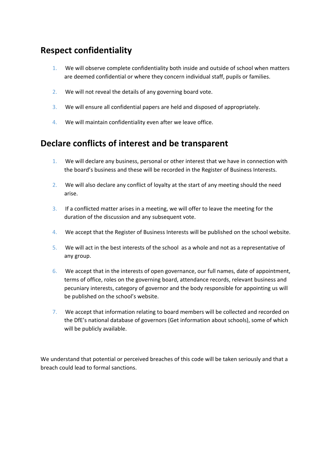## **Respect confidentiality**

- 1. We will observe complete confidentiality both inside and outside of school when matters are deemed confidential or where they concern individual staff, pupils or families.
- 2. We will not reveal the details of any governing board vote.
- 3. We will ensure all confidential papers are held and disposed of appropriately.
- 4. We will maintain confidentiality even after we leave office.

## **Declare conflicts of interest and be transparent**

- 1. We will declare any business, personal or other interest that we have in connection with the board's business and these will be recorded in the Register of Business Interests.
- 2. We will also declare any conflict of loyalty at the start of any meeting should the need arise.
- 3. If a conflicted matter arises in a meeting, we will offer to leave the meeting for the duration of the discussion and any subsequent vote.
- 4. We accept that the Register of Business Interests will be published on the school website.
- 5. We will act in the best interests of the school as a whole and not as a representative of any group.
- 6. We accept that in the interests of open governance, our full names, date of appointment, terms of office, roles on the governing board, attendance records, relevant business and pecuniary interests, category of governor and the body responsible for appointing us will be published on the school's website.
- 7. We accept that information relating to board members will be collected and recorded on the DfE's national database of governors (Get information about schools), some of which will be publicly available.

We understand that potential or perceived breaches of this code will be taken seriously and that a breach could lead to formal sanctions.